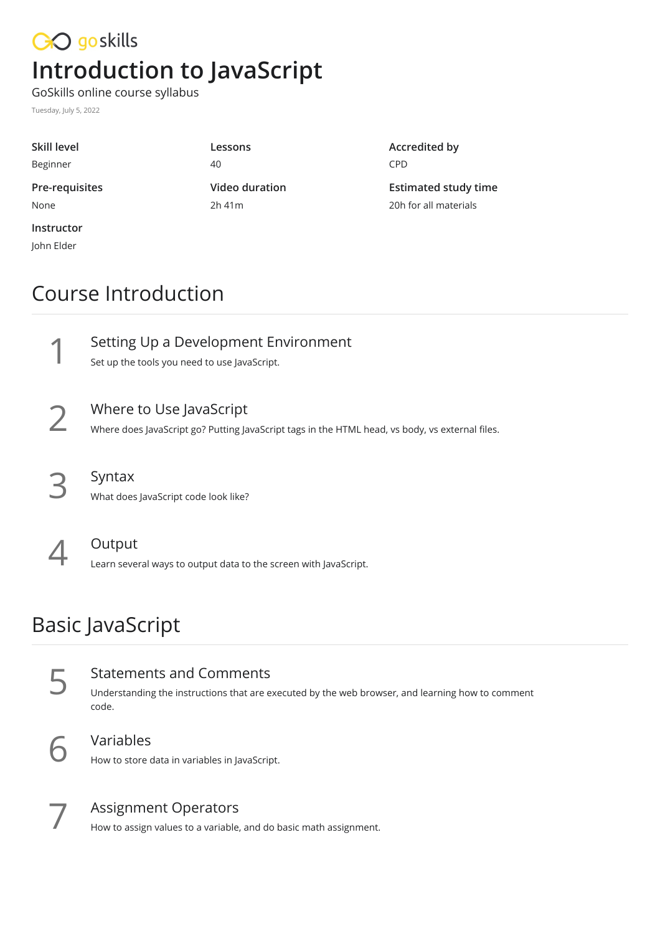# CO goskills **Introduction to JavaScript**

GoSkills online course syllabus

Tuesday, July 5, 2022

| Skill level    | Lessons               | Ac |
|----------------|-----------------------|----|
| Beginner       | 40                    | CP |
| Pre-requisites | <b>Video duration</b> | Es |
| None           | 2h41m                 | 20 |
| Instructor     |                       |    |
| John Elder     |                       |    |

### **Accredited by** PD.

**Estimated study time** 20h for all materials

### Course Introduction



Where to Use JavaScript<br>Where does JavaScript go? Putting JavaScript tags in the HTML head, vs body, vs external files.



Syntax<br>What does JavaScript code look like?



Output<br>Learn several ways to output data to the screen with JavaScript.

# Basic JavaScript

| <b>Statements and Comments</b><br>Understanding the instructions that are executed by the web browser, and learning how to comment<br>code. |
|---------------------------------------------------------------------------------------------------------------------------------------------|
| Variables                                                                                                                                   |

How to store data in variables in JavaScript.



Assignment Operators<br>How to assign values to a variable, and do basic math assignment.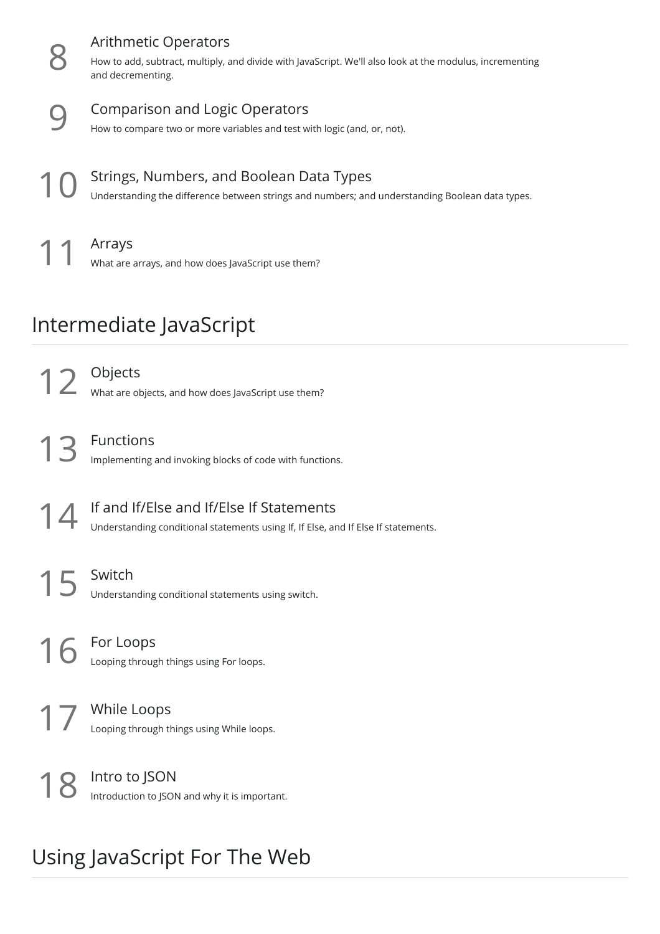|                         | <b>Arithmetic Operators</b><br>How to add, subtract, multiply, and divide with JavaScript. We'll also look at the modulus, incrementing<br>and decrementing. |  |
|-------------------------|--------------------------------------------------------------------------------------------------------------------------------------------------------------|--|
|                         | <b>Comparison and Logic Operators</b><br>How to compare two or more variables and test with logic (and, or, not).                                            |  |
|                         | Strings, Numbers, and Boolean Data Types<br>Understanding the difference between strings and numbers; and understanding Boolean data types.                  |  |
|                         | Arrays<br>What are arrays, and how does JavaScript use them?                                                                                                 |  |
| Intermediate JavaScript |                                                                                                                                                              |  |
| 12                      | Objects<br>What are objects, and how does JavaScript use them?                                                                                               |  |
| 13                      | Functions<br>Implementing and invoking blocks of code with functions.                                                                                        |  |
|                         | If and If/Else and If/Else If Statements<br>Understanding conditional statements using If, If Else, and If Else If statements.                               |  |
| 15                      | Switch<br>Understanding conditional statements using switch.                                                                                                 |  |
|                         | For Loops<br>Looping through things using For loops.                                                                                                         |  |
|                         | While Loops<br>Looping through things using While loops.                                                                                                     |  |
|                         | Intro to JSON<br>Introduction to JSON and why it is important.                                                                                               |  |

# Using JavaScript For The Web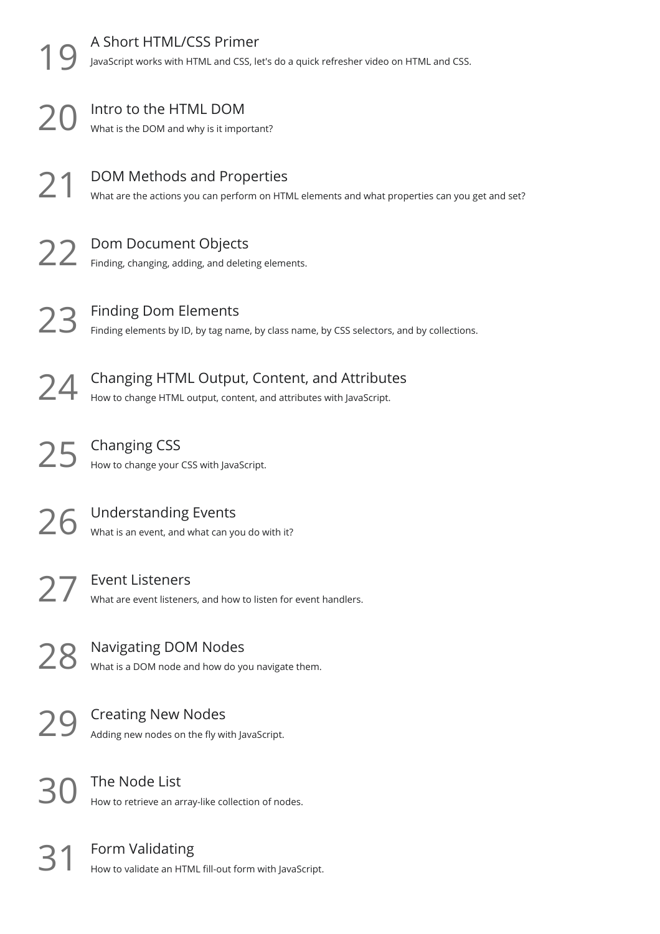|    | A Short HTML/CSS Primer<br>JavaScript works with HTML and CSS, let's do a quick refresher video on HTML and CSS.             |
|----|------------------------------------------------------------------------------------------------------------------------------|
| 20 | Intro to the HTML DOM<br>What is the DOM and why is it important?                                                            |
| 21 | DOM Methods and Properties<br>What are the actions you can perform on HTML elements and what properties can you get and set? |
| 22 | Dom Document Objects<br>Finding, changing, adding, and deleting elements.                                                    |
| 73 | <b>Finding Dom Elements</b><br>Finding elements by ID, by tag name, by class name, by CSS selectors, and by collections.     |
|    | Changing HTML Output, Content, and Attributes<br>How to change HTML output, content, and attributes with JavaScript.         |
|    | <b>Changing CSS</b><br>How to change your CSS with JavaScript.                                                               |
|    | <b>Understanding Events</b><br>What is an event, and what can you do with it?                                                |
| 27 | <b>Event Listeners</b><br>What are event listeners, and how to listen for event handlers.                                    |
| 28 | <b>Navigating DOM Nodes</b><br>What is a DOM node and how do you navigate them.                                              |
|    | <b>Creating New Nodes</b><br>Adding new nodes on the fly with JavaScript.                                                    |
|    | The Node List<br>How to retrieve an array-like collection of nodes.                                                          |
|    | Form Validating<br>How to validate an HTML fill-out form with JavaScript.                                                    |